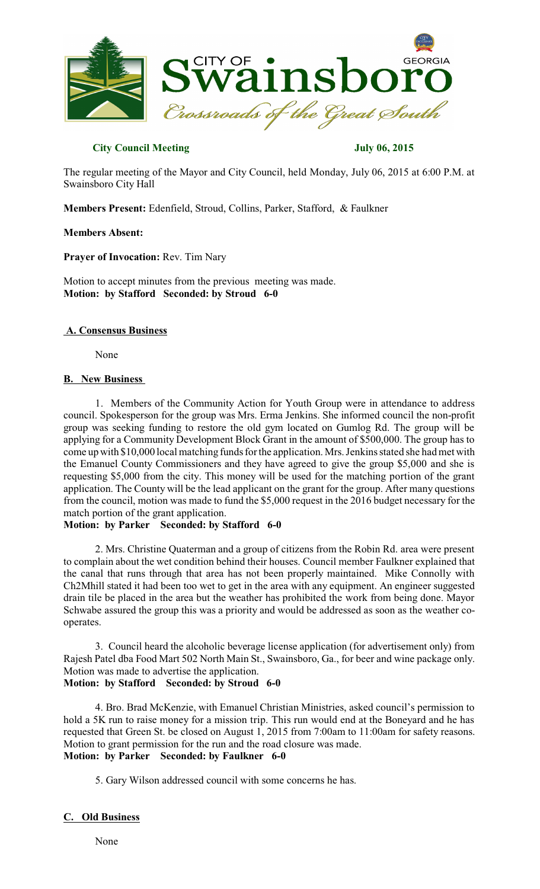

## **City Council Meeting July 06, 2015**

The regular meeting of the Mayor and City Council, held Monday, July 06, 2015 at 6:00 P.M. at Swainsboro City Hall

**Members Present:** Edenfield, Stroud, Collins, Parker, Stafford, & Faulkner

### **Members Absent:**

**Prayer of Invocation:** Rev. Tim Nary

Motion to accept minutes from the previous meeting was made. **Motion: by Stafford Seconded: by Stroud 6-0**

#### **A. Consensus Business**

None

#### **B. New Business**

1. Members of the Community Action for Youth Group were in attendance to address council. Spokesperson for the group was Mrs. Erma Jenkins. She informed council the non-profit group was seeking funding to restore the old gym located on Gumlog Rd. The group will be applying for a Community Development Block Grant in the amount of \$500,000. The group has to come up with \$10,000 local matching funds for the application. Mrs. Jenkins stated she had met with the Emanuel County Commissioners and they have agreed to give the group \$5,000 and she is requesting \$5,000 from the city. This money will be used for the matching portion of the grant application. The County will be the lead applicant on the grant for the group. After many questions from the council, motion was made to fund the \$5,000 request in the 2016 budget necessary for the match portion of the grant application.

### **Motion: by Parker Seconded: by Stafford 6-0**

2. Mrs. Christine Quaterman and a group of citizens from the Robin Rd. area were present to complain about the wet condition behind their houses. Council member Faulkner explained that the canal that runs through that area has not been properly maintained. Mike Connolly with Ch2Mhill stated it had been too wet to get in the area with any equipment. An engineer suggested drain tile be placed in the area but the weather has prohibited the work from being done. Mayor Schwabe assured the group this was a priority and would be addressed as soon as the weather cooperates.

3. Council heard the alcoholic beverage license application (for advertisement only) from Rajesh Patel dba Food Mart 502 North Main St., Swainsboro, Ga., for beer and wine package only. Motion was made to advertise the application. **Motion: by Stafford Seconded: by Stroud 6-0**

4. Bro. Brad McKenzie, with Emanuel Christian Ministries, asked council's permission to hold a 5K run to raise money for a mission trip. This run would end at the Boneyard and he has requested that Green St. be closed on August 1, 2015 from 7:00am to 11:00am for safety reasons. Motion to grant permission for the run and the road closure was made. **Motion: by Parker Seconded: by Faulkner 6-0**

5. Gary Wilson addressed council with some concerns he has.

### **C. Old Business**

None